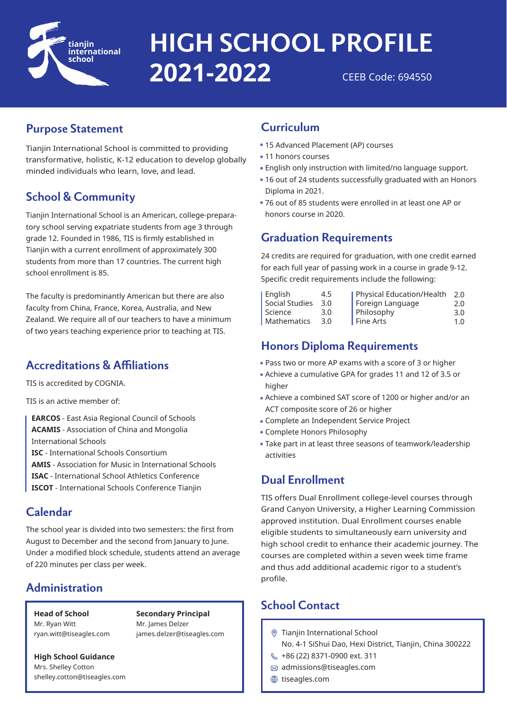

# CEEB Code: 694550 **HIGH SCHOOL PROFILE 2021-2022**

# **Purpose Statement**

Tianjin International School is committed to providing transformative, holistic, K-12 education to develop globally minded individuals who learn, love, and lead.

# **School & Community**

Tianjin International School is an American, college-preparatory school serving expatriate students from age 3 through grade 12. Founded in 1986, TIS is firmly established in Tianjin with a current enrollment of approximately 300 students from more than 17 countries. The current high school enrollment is 85.

The faculty is predominantly American but there are also faculty from China, France, Korea, Australia, and New Zealand. We require all of our teachers to have a minimum of two years teaching experience prior to teaching at TIS.

# **Accreditations & Affiliations**

TIS is accredited by COGNIA.

TIS is an active member of:

**EARCOS** - East Asia Regional Council of Schools **ACAMIS** - Association of China and Mongolia International Schools **ISC** - International Schools Consortium **AMIS** - Association for Music in International Schools **ISAC** - International School Athletics Conference

**ISCOT** - International Schools Conference Tianjin

### **Calendar**

The school year is divided into two semesters: the first from August to December and the second from January to June. Under a modified block schedule, students attend an average of 220 minutes per class per week.

# **Administration**

**Head of School** Mr. Ryan Witt ryan.witt@tiseagles.com

**Secondary Principal** Mr. James Delzer james.delzer@tiseagles.com

**High School Guidance** Mrs. Shelley Cotton shelley.cotton@tiseagles.com

### **Curriculum**

- 15 Advanced Placement (AP) courses
- 11 honors courses
- English only instruction with limited/no language support.
- 16 out of 24 students successfully graduated with an Honors Diploma in 2021.
- 76 out of 85 students were enrolled in at least one AP or honors course in 2020.

# **Graduation Requirements**

24 credits are required for graduation, with one credit earned for each full year of passing work in a course in grade 9-12. Specific credit requirements include the following:

| English        | 4.5 | Physical Education/Health | 2.0 |
|----------------|-----|---------------------------|-----|
| Social Studies | 3.0 | Foreign Language          | 2.0 |
| Science        | 3.0 | Philosophy                | 3.0 |
| Mathematics    | 3.0 | Fine Arts                 | 1.0 |

# **Honors Diploma Requirements**

- Pass two or more AP exams with a score of 3 or higher
- Achieve a cumulative GPA for grades 11 and 12 of 3.5 or higher
- Achieve a combined SAT score of 1200 or higher and/or an ACT composite score of 26 or higher
- Complete an Independent Service Project
- Complete Honors Philosophy
- Take part in at least three seasons of teamwork/leadership activities

# **Dual Enrollment**

TIS offers Dual Enrollment college-level courses through Grand Canyon University, a Higher Learning Commission approved institution. Dual Enrollment courses enable eligible students to simultaneously earn university and high school credit to enhance their academic journey. The courses are completed within a seven week time frame and thus add additional academic rigor to a student's profile.

# **School Contact**

- Tianjin International School
	- No. 4-1 SiShui Dao, Hexi District, Tianjin, China 300222
- \$486 (22) 8371-0900 ext. 311
- $\bowtie$  admissions@tiseagles.com
- **tiseagles.com**